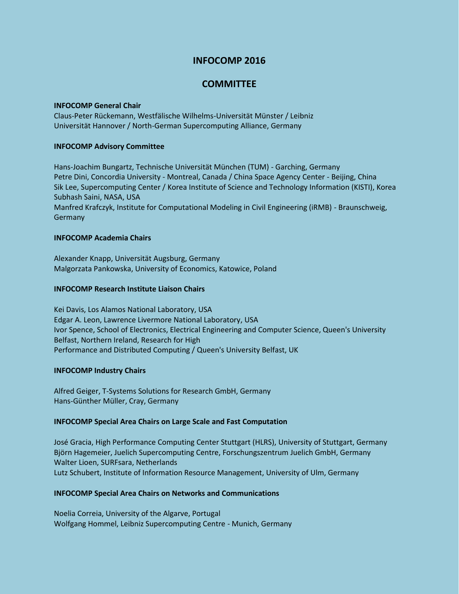# **INFOCOMP 2016**

# **COMMITTEE**

#### **INFOCOMP General Chair**

Claus-Peter Rückemann, Westfälische Wilhelms-Universität Münster / Leibniz Universität Hannover / North-German Supercomputing Alliance, Germany

# **INFOCOMP Advisory Committee**

Hans-Joachim Bungartz, Technische Universität München (TUM) - Garching, Germany Petre Dini, Concordia University - Montreal, Canada / China Space Agency Center - Beijing, China Sik Lee, Supercomputing Center / Korea Institute of Science and Technology Information (KISTI), Korea Subhash Saini, NASA, USA Manfred Krafczyk, Institute for Computational Modeling in Civil Engineering (iRMB) - Braunschweig, Germany

## **INFOCOMP Academia Chairs**

Alexander Knapp, Universität Augsburg, Germany Malgorzata Pankowska, University of Economics, Katowice, Poland

## **INFOCOMP Research Institute Liaison Chairs**

Kei Davis, Los Alamos National Laboratory, USA Edgar A. Leon, Lawrence Livermore National Laboratory, USA Ivor Spence, School of Electronics, Electrical Engineering and Computer Science, Queen's University Belfast, Northern Ireland, Research for High Performance and Distributed Computing / Queen's University Belfast, UK

# **INFOCOMP Industry Chairs**

Alfred Geiger, T-Systems Solutions for Research GmbH, Germany Hans-Günther Müller, Cray, Germany

#### **INFOCOMP Special Area Chairs on Large Scale and Fast Computation**

José Gracia, High Performance Computing Center Stuttgart (HLRS), University of Stuttgart, Germany Björn Hagemeier, Juelich Supercomputing Centre, Forschungszentrum Juelich GmbH, Germany Walter Lioen, SURFsara, Netherlands Lutz Schubert, Institute of Information Resource Management, University of Ulm, Germany

# **INFOCOMP Special Area Chairs on Networks and Communications**

Noelia Correia, University of the Algarve, Portugal Wolfgang Hommel, Leibniz Supercomputing Centre - Munich, Germany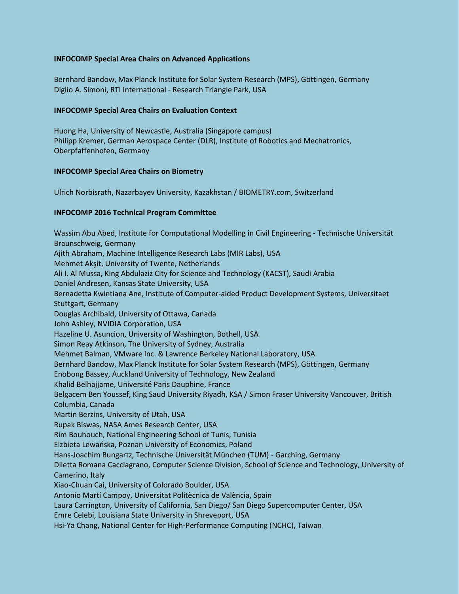# **INFOCOMP Special Area Chairs on Advanced Applications**

Bernhard Bandow, Max Planck Institute for Solar System Research (MPS), Göttingen, Germany Diglio A. Simoni, RTI International - Research Triangle Park, USA

#### **INFOCOMP Special Area Chairs on Evaluation Context**

Huong Ha, University of Newcastle, Australia (Singapore campus) Philipp Kremer, German Aerospace Center (DLR), Institute of Robotics and Mechatronics, Oberpfaffenhofen, Germany

## **INFOCOMP Special Area Chairs on Biometry**

Ulrich Norbisrath, Nazarbayev University, Kazakhstan / BIOMETRY.com, Switzerland

## **INFOCOMP 2016 Technical Program Committee**

Wassim Abu Abed, Institute for Computational Modelling in Civil Engineering - Technische Universität Braunschweig, Germany Ajith Abraham, Machine Intelligence Research Labs (MIR Labs), USA Mehmet Akşit, University of Twente, Netherlands Ali I. Al Mussa, King Abdulaziz City for Science and Technology (KACST), Saudi Arabia Daniel Andresen, Kansas State University, USA Bernadetta Kwintiana Ane, Institute of Computer-aided Product Development Systems, Universitaet Stuttgart, Germany Douglas Archibald, University of Ottawa, Canada John Ashley, NVIDIA Corporation, USA Hazeline U. Asuncion, University of Washington, Bothell, USA Simon Reay Atkinson, The University of Sydney, Australia Mehmet Balman, VMware Inc. & Lawrence Berkeley National Laboratory, USA Bernhard Bandow, Max Planck Institute for Solar System Research (MPS), Göttingen, Germany Enobong Bassey, Auckland University of Technology, New Zealand Khalid Belhajjame, Université Paris Dauphine, France Belgacem Ben Youssef, King Saud University Riyadh, KSA / Simon Fraser University Vancouver, British Columbia, Canada Martin Berzins, University of Utah, USA Rupak Biswas, NASA Ames Research Center, USA Rim Bouhouch, National Engineering School of Tunis, Tunisia Elzbieta Lewańska, Poznan University of Economics, Poland Hans-Joachim Bungartz, Technische Universität München (TUM) - Garching, Germany Diletta Romana Cacciagrano, Computer Science Division, School of Science and Technology, University of Camerino, Italy Xiao-Chuan Cai, University of Colorado Boulder, USA Antonio Martí Campoy, Universitat Politècnica de València, Spain Laura Carrington, University of California, San Diego/ San Diego Supercomputer Center, USA Emre Celebi, Louisiana State University in Shreveport, USA Hsi-Ya Chang, National Center for High-Performance Computing (NCHC), Taiwan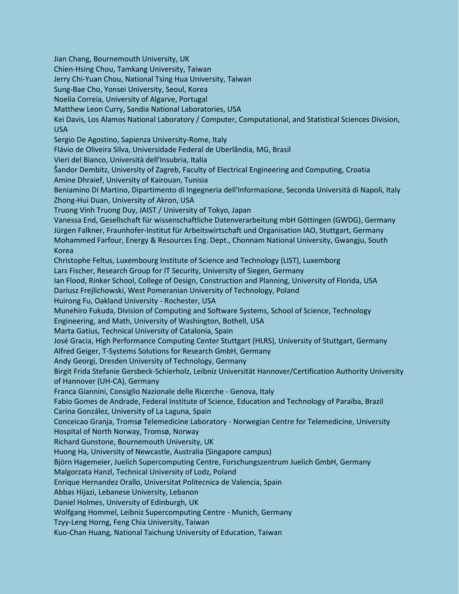Jian Chang, Bournemouth University, UK Chien-Hsing Chou, Tamkang University, Taiwan Jerry Chi-Yuan Chou, National Tsing Hua University, Taiwan Sung-Bae Cho, Yonsei University, Seoul, Korea Noelia Correia, University of Algarve, Portugal Matthew Leon Curry, Sandia National Laboratories, USA Kei Davis, Los Alamos National Laboratory / Computer, Computational, and Statistical Sciences Division, USA Sergio De Agostino, Sapienza University-Rome, Italy Flávio de Oliveira Silva, Universidade Federal de Uberlândia, MG, Brasil Vieri del Bianco, Università dell'Insubria, Italia Šandor Dembitz, University of Zagreb, Faculty of Electrical Engineering and Computing, Croatia Amine Dhraief, University of Kairouan, Tunisia Beniamino Di Martino, Dipartimento di Ingegneria dell'Informazione, Seconda Università di Napoli, Italy Zhong-Hui Duan, University of Akron, USA Truong Vinh Truong Duy, JAIST / University of Tokyo, Japan Vanessa End, Gesellschaft für wissenschaftliche Datenverarbeitung mbH Göttingen (GWDG), Germany Jürgen Falkner, Fraunhofer-Institut für Arbeitswirtschaft und Organisation IAO, Stuttgart, Germany Mohammed Farfour, Energy & Resources Eng. Dept., Chonnam National University, Gwangju, South Korea Christophe Feltus, Luxembourg Institute of Science and Technology (LIST), Luxemborg Lars Fischer, Research Group for IT Security, University of Siegen, Germany Ian Flood, Rinker School, College of Design, Construction and Planning, University of Florida, USA Dariusz Frejlichowski, West Pomeranian University of Technology, Poland Huirong Fu, Oakland University - Rochester, USA Munehiro Fukuda, Division of Computing and Software Systems, School of Science, Technology Engineering, and Math, University of Washington, Bothell, USA Marta Gatius, Technical University of Catalonia, Spain José Gracia, High Performance Computing Center Stuttgart (HLRS), University of Stuttgart, Germany Alfred Geiger, T-Systems Solutions for Research GmbH, Germany Andy Georgi, Dresden University of Technology, Germany Birgit Frida Stefanie Gersbeck-Schierholz, Leibniz Universität Hannover/Certification Authority University of Hannover (UH-CA), Germany Franca Giannini, Consiglio Nazionale delle Ricerche - Genova, Italy Fabio Gomes de Andrade, Federal Institute of Science, Education and Technology of Paraíba, Brazil Carina González, University of La Laguna, Spain Conceicao Granja, Tromsø Telemedicine Laboratory - Norwegian Centre for Telemedicine, University Hospital of North Norway, Tromsø, Norway Richard Gunstone, Bournemouth University, UK Huong Ha, University of Newcastle, Australia (Singapore campus) Björn Hagemeier, Juelich Supercomputing Centre, Forschungszentrum Juelich GmbH, Germany Malgorzata Hanzl, Technical University of Lodz, Poland Enrique Hernandez Orallo, Universitat Politecnica de Valencia, Spain Abbas Hijazi, Lebanese University, Lebanon Daniel Holmes, University of Edinburgh, UK Wolfgang Hommel, Leibniz Supercomputing Centre - Munich, Germany Tzyy-Leng Horng, Feng Chia University, Taiwan Kuo-Chan Huang, National Taichung University of Education, Taiwan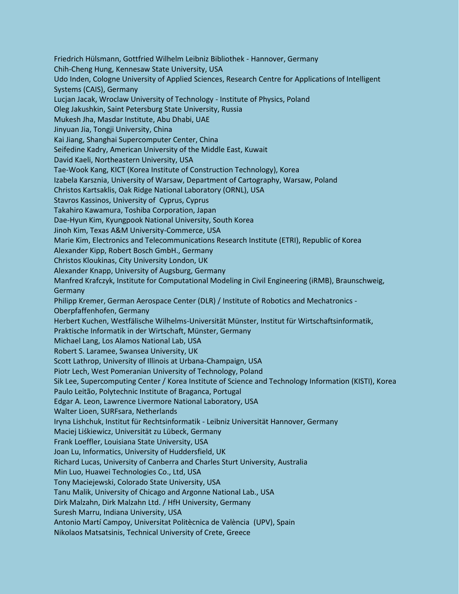Friedrich Hülsmann, Gottfried Wilhelm Leibniz Bibliothek - Hannover, Germany Chih-Cheng Hung, Kennesaw State University, USA Udo Inden, Cologne University of Applied Sciences, Research Centre for Applications of Intelligent Systems (CAIS), Germany Lucjan Jacak, Wroclaw University of Technology - Institute of Physics, Poland Oleg Jakushkin, Saint Petersburg State University, Russia Mukesh Jha, Masdar Institute, Abu Dhabi, UAE Jinyuan Jia, Tongji University, China Kai Jiang, Shanghai Supercomputer Center, China Seifedine Kadry, American University of the Middle East, Kuwait David Kaeli, Northeastern University, USA Tae-Wook Kang, KICT (Korea Institute of Construction Technology), Korea Izabela Karsznia, University of Warsaw, Department of Cartography, Warsaw, Poland Christos Kartsaklis, Oak Ridge National Laboratory (ORNL), USA Stavros Kassinos, University of Cyprus, Cyprus Takahiro Kawamura, Toshiba Corporation, Japan Dae-Hyun Kim, Kyungpook National University, South Korea Jinoh Kim, Texas A&M University-Commerce, USA Marie Kim, Electronics and Telecommunications Research Institute (ETRI), Republic of Korea Alexander Kipp, Robert Bosch GmbH., Germany Christos Kloukinas, City University London, UK Alexander Knapp, University of Augsburg, Germany Manfred Krafczyk, Institute for Computational Modeling in Civil Engineering (iRMB), Braunschweig, Germany Philipp Kremer, German Aerospace Center (DLR) / Institute of Robotics and Mechatronics - Oberpfaffenhofen, Germany Herbert Kuchen, Westfälische Wilhelms-Universität Münster, Institut für Wirtschaftsinformatik, Praktische Informatik in der Wirtschaft, Münster, Germany Michael Lang, Los Alamos National Lab, USA Robert S. Laramee, Swansea University, UK Scott Lathrop, University of Illinois at Urbana-Champaign, USA Piotr Lech, West Pomeranian University of Technology, Poland Sik Lee, Supercomputing Center / Korea Institute of Science and Technology Information (KISTI), Korea Paulo Leitão, Polytechnic Institute of Braganca, Portugal Edgar A. Leon, Lawrence Livermore National Laboratory, USA Walter Lioen, SURFsara, Netherlands Iryna Lishchuk, Institut für Rechtsinformatik - Leibniz Universität Hannover, Germany Maciej Liśkiewicz, Universität zu Lübeck, Germany Frank Loeffler, Louisiana State University, USA Joan Lu, Informatics, University of Huddersfield, UK Richard Lucas, University of Canberra and Charles Sturt University, Australia Min Luo, Huawei Technologies Co., Ltd, USA Tony Maciejewski, Colorado State University, USA Tanu Malik, University of Chicago and Argonne National Lab., USA Dirk Malzahn, Dirk Malzahn Ltd. / HfH University, Germany Suresh Marru, Indiana University, USA Antonio Martí Campoy, Universitat Politècnica de València (UPV), Spain Nikolaos Matsatsinis, Technical University of Crete, Greece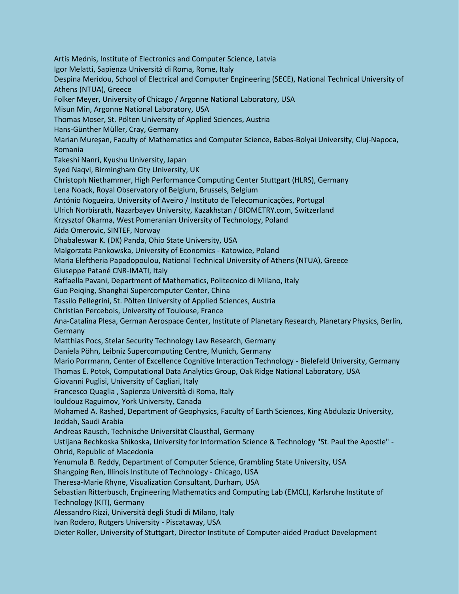Artis Mednis, Institute of Electronics and Computer Science, Latvia Igor Melatti, Sapienza Università di Roma, Rome, Italy Despina Meridou, School of Electrical and Computer Engineering (SECE), National Technical University of Athens (NTUA), Greece Folker Meyer, University of Chicago / Argonne National Laboratory, USA Misun Min, Argonne National Laboratory, USA Thomas Moser, St. Pölten University of Applied Sciences, Austria Hans-Günther Müller, Cray, Germany Marian Mureșan, Faculty of Mathematics and Computer Science, Babes-Bolyai University, Cluj-Napoca, Romania Takeshi Nanri, Kyushu University, Japan Syed Naqvi, Birmingham City University, UK Christoph Niethammer, High Performance Computing Center Stuttgart (HLRS), Germany Lena Noack, Royal Observatory of Belgium, Brussels, Belgium António Nogueira, University of Aveiro / Instituto de Telecomunicações, Portugal Ulrich Norbisrath, Nazarbayev University, Kazakhstan / BIOMETRY.com, Switzerland Krzysztof Okarma, West Pomeranian University of Technology, Poland Aida Omerovic, SINTEF, Norway Dhabaleswar K. (DK) Panda, Ohio State University, USA Malgorzata Pankowska, University of Economics - Katowice, Poland Maria Eleftheria Papadopoulou, National Technical University of Athens (NTUA), Greece Giuseppe Patané CNR-IMATI, Italy Raffaella Pavani, Department of Mathematics, Politecnico di Milano, Italy Guo Peiqing, Shanghai Supercomputer Center, China Tassilo Pellegrini, St. Pölten University of Applied Sciences, Austria Christian Percebois, University of Toulouse, France Ana-Catalina Plesa, German Aerospace Center, Institute of Planetary Research, Planetary Physics, Berlin, Germany Matthias Pocs, Stelar Security Technology Law Research, Germany Daniela Pöhn, Leibniz Supercomputing Centre, Munich, Germany Mario Porrmann, Center of Excellence Cognitive Interaction Technology - Bielefeld University, Germany Thomas E. Potok, Computational Data Analytics Group, Oak Ridge National Laboratory, USA Giovanni Puglisi, University of Cagliari, Italy Francesco Quaglia , Sapienza Università di Roma, Italy Iouldouz Raguimov, York University, Canada Mohamed A. Rashed, Department of Geophysics, Faculty of Earth Sciences, King Abdulaziz University, Jeddah, Saudi Arabia Andreas Rausch, Technische Universität Clausthal, Germany Ustijana Rechkoska Shikoska, University for Information Science & Technology "St. Paul the Apostle" - Ohrid, Republic of Macedonia Yenumula B. Reddy, Department of Computer Science, Grambling State University, USA Shangping Ren, Illinois Institute of Technology - Chicago, USA Theresa-Marie Rhyne, Visualization Consultant, Durham, USA Sebastian Ritterbusch, Engineering Mathematics and Computing Lab (EMCL), Karlsruhe Institute of Technology (KIT), Germany Alessandro Rizzi, Università degli Studi di Milano, Italy Ivan Rodero, Rutgers University - Piscataway, USA Dieter Roller, University of Stuttgart, Director Institute of Computer-aided Product Development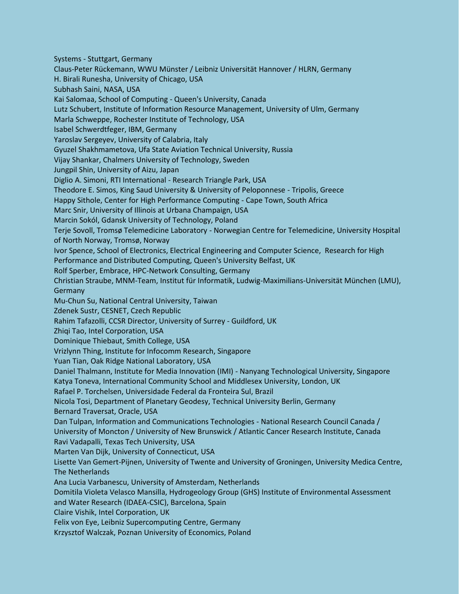Systems - Stuttgart, Germany Claus-Peter Rückemann, WWU Münster / Leibniz Universität Hannover / HLRN, Germany H. Birali Runesha, University of Chicago, USA Subhash Saini, NASA, USA Kai Salomaa, School of Computing - Queen's University, Canada Lutz Schubert, Institute of Information Resource Management, University of Ulm, Germany Marla Schweppe, Rochester Institute of Technology, USA Isabel Schwerdtfeger, IBM, Germany Yaroslav Sergeyev, University of Calabria, Italy Gyuzel Shakhmametova, Ufa State Aviation Technical University, Russia Vijay Shankar, Chalmers University of Technology, Sweden Jungpil Shin, University of Aizu, Japan Diglio A. Simoni, RTI International - Research Triangle Park, USA Theodore E. Simos, King Saud University & University of Peloponnese - Tripolis, Greece Happy Sithole, Center for High Performance Computing - Cape Town, South Africa Marc Snir, University of Illinois at Urbana Champaign, USA Marcin Sokól, Gdansk University of Technology, Poland Terje Sovoll, Tromsø Telemedicine Laboratory - Norwegian Centre for Telemedicine, University Hospital of North Norway, Tromsø, Norway Ivor Spence, School of Electronics, Electrical Engineering and Computer Science, Research for High Performance and Distributed Computing, Queen's University Belfast, UK Rolf Sperber, Embrace, HPC-Network Consulting, Germany Christian Straube, MNM-Team, Institut für Informatik, Ludwig-Maximilians-Universität München (LMU), Germany Mu-Chun Su, National Central University, Taiwan Zdenek Sustr, CESNET, Czech Republic Rahim Tafazolli, CCSR Director, University of Surrey - Guildford, UK Zhiqi Tao, Intel Corporation, USA Dominique Thiebaut, Smith College, USA Vrizlynn Thing, Institute for Infocomm Research, Singapore Yuan Tian, Oak Ridge National Laboratory, USA Daniel Thalmann, Institute for Media Innovation (IMI) - Nanyang Technological University, Singapore Katya Toneva, International Community School and Middlesex University, London, UK Rafael P. Torchelsen, Universidade Federal da Fronteira Sul, Brazil Nicola Tosi, Department of Planetary Geodesy, Technical University Berlin, Germany Bernard Traversat, Oracle, USA Dan Tulpan, Information and Communications Technologies - National Research Council Canada / University of Moncton / University of New Brunswick / Atlantic Cancer Research Institute, Canada Ravi Vadapalli, Texas Tech University, USA Marten Van Dijk, University of Connecticut, USA Lisette Van Gemert-Pijnen, University of Twente and University of Groningen, University Medica Centre, The Netherlands Ana Lucia Varbanescu, University of Amsterdam, Netherlands Domitila Violeta Velasco Mansilla, Hydrogeology Group (GHS) Institute of Environmental Assessment and Water Research (IDAEA-CSIC), Barcelona, Spain Claire Vishik, Intel Corporation, UK Felix von Eye, Leibniz Supercomputing Centre, Germany Krzysztof Walczak, Poznan University of Economics, Poland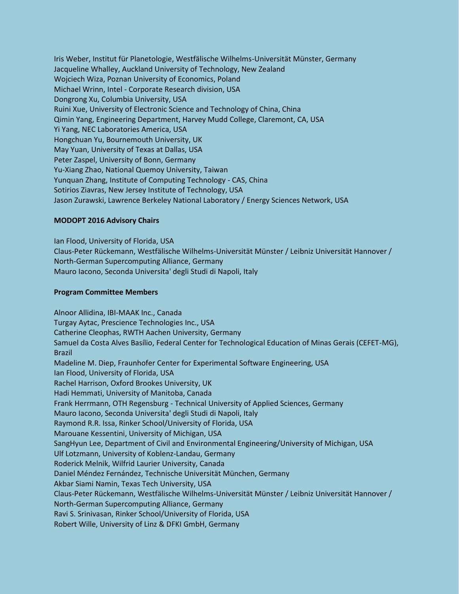Iris Weber, Institut für Planetologie, Westfälische Wilhelms-Universität Münster, Germany Jacqueline Whalley, Auckland University of Technology, New Zealand Wojciech Wiza, Poznan University of Economics, Poland Michael Wrinn, Intel - Corporate Research division, USA Dongrong Xu, Columbia University, USA Ruini Xue, University of Electronic Science and Technology of China, China Qimin Yang, Engineering Department, Harvey Mudd College, Claremont, CA, USA Yi Yang, NEC Laboratories America, USA Hongchuan Yu, Bournemouth University, UK May Yuan, University of Texas at Dallas, USA Peter Zaspel, University of Bonn, Germany Yu-Xiang Zhao, National Quemoy University, Taiwan Yunquan Zhang, Institute of Computing Technology - CAS, China Sotirios Ziavras, New Jersey Institute of Technology, USA Jason Zurawski, Lawrence Berkeley National Laboratory / Energy Sciences Network, USA

## **MODOPT 2016 Advisory Chairs**

Ian Flood, University of Florida, USA Claus-Peter Rückemann, Westfälische Wilhelms-Universität Münster / Leibniz Universität Hannover / North-German Supercomputing Alliance, Germany Mauro Iacono, Seconda Universita' degli Studi di Napoli, Italy

#### **Program Committee Members**

Alnoor Allidina, IBI-MAAK Inc., Canada Turgay Aytac, Prescience Technologies Inc., USA Catherine Cleophas, RWTH Aachen University, Germany Samuel da Costa Alves Basílio, Federal Center for Technological Education of Minas Gerais (CEFET-MG), Brazil Madeline M. Diep, Fraunhofer Center for Experimental Software Engineering, USA Ian Flood, University of Florida, USA Rachel Harrison, Oxford Brookes University, UK Hadi Hemmati, University of Manitoba, Canada Frank Herrmann, OTH Regensburg - Technical University of Applied Sciences, Germany Mauro Iacono, Seconda Universita' degli Studi di Napoli, Italy Raymond R.R. Issa, Rinker School/University of Florida, USA Marouane Kessentini, University of Michigan, USA SangHyun Lee, Department of Civil and Environmental Engineering/University of Michigan, USA Ulf Lotzmann, University of Koblenz-Landau, Germany Roderick Melnik, Wilfrid Laurier University, Canada Daniel Méndez Fernández, Technische Universität München, Germany Akbar Siami Namin, Texas Tech University, USA Claus-Peter Rückemann, Westfälische Wilhelms-Universität Münster / Leibniz Universität Hannover / North-German Supercomputing Alliance, Germany Ravi S. Srinivasan, Rinker School/University of Florida, USA Robert Wille, University of Linz & DFKI GmbH, Germany